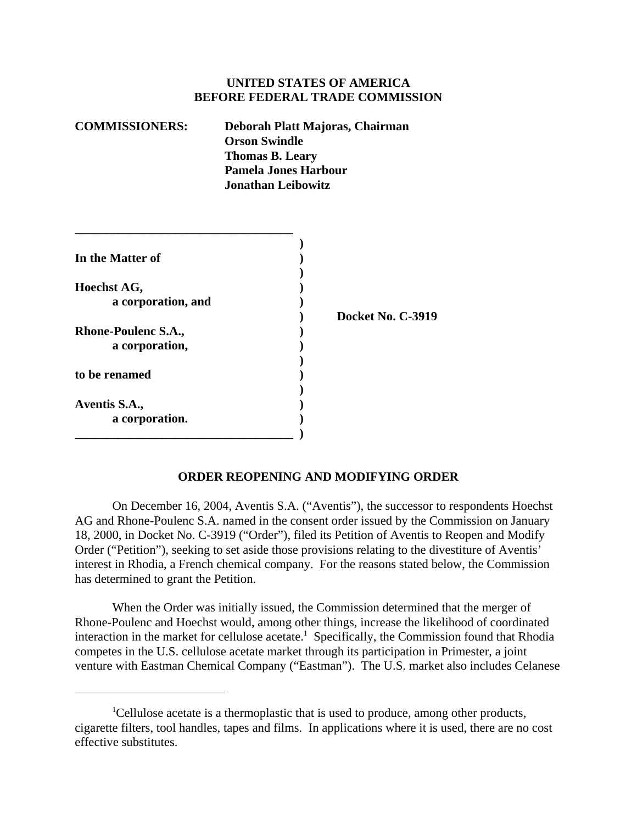## **UNITED STATES OF AMERICA BEFORE FEDERAL TRADE COMMISSION**

| <b>COMMISSIONERS:</b> | Deborah Platt Majoras, Chairman<br><b>Orson Swindle</b> |
|-----------------------|---------------------------------------------------------|
|                       | <b>Thomas B. Leary</b>                                  |
|                       | <b>Pamela Jones Harbour</b>                             |
|                       | <b>Jonathan Leibowitz</b>                               |

| In the Matter of           |                   |
|----------------------------|-------------------|
|                            |                   |
| Hoechst AG,                |                   |
| a corporation, and         |                   |
|                            | Docket No. C-3919 |
| <b>Rhone-Poulenc S.A.,</b> |                   |
| a corporation,             |                   |
| to be renamed              |                   |
| Aventis S.A.,              |                   |
| a corporation.             |                   |
|                            |                   |

## **ORDER REOPENING AND MODIFYING ORDER**

On December 16, 2004, Aventis S.A. ("Aventis"), the successor to respondents Hoechst AG and Rhone-Poulenc S.A. named in the consent order issued by the Commission on January 18, 2000, in Docket No. C-3919 ("Order"), filed its Petition of Aventis to Reopen and Modify Order ("Petition"), seeking to set aside those provisions relating to the divestiture of Aventis' interest in Rhodia, a French chemical company. For the reasons stated below, the Commission has determined to grant the Petition.

When the Order was initially issued, the Commission determined that the merger of Rhone-Poulenc and Hoechst would, among other things, increase the likelihood of coordinated interaction in the market for cellulose acetate.<sup>1</sup> Specifically, the Commission found that Rhodia competes in the U.S. cellulose acetate market through its participation in Primester, a joint venture with Eastman Chemical Company ("Eastman"). The U.S. market also includes Celanese

<sup>&</sup>lt;sup>1</sup>Cellulose acetate is a thermoplastic that is used to produce, among other products, cigarette filters, tool handles, tapes and films. In applications where it is used, there are no cost effective substitutes.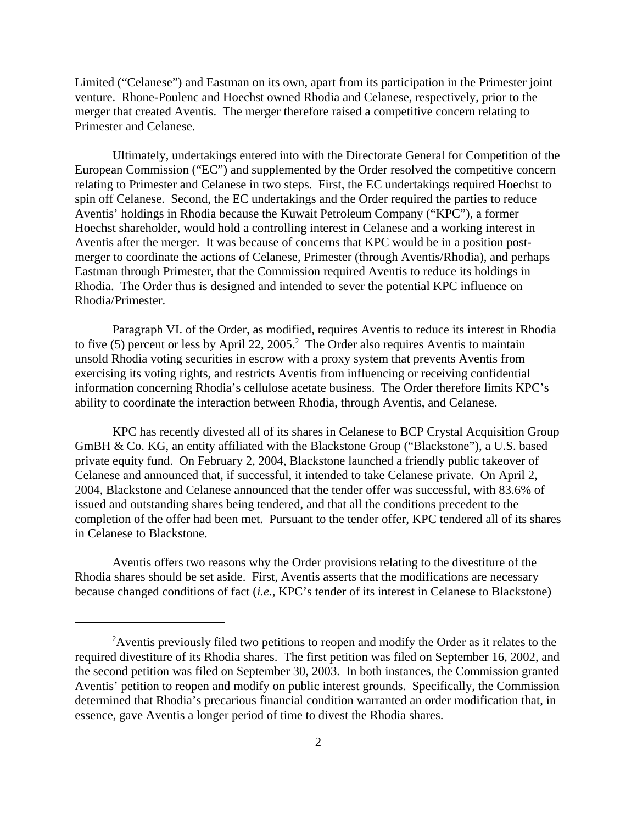Limited ("Celanese") and Eastman on its own, apart from its participation in the Primester joint venture. Rhone-Poulenc and Hoechst owned Rhodia and Celanese, respectively, prior to the merger that created Aventis. The merger therefore raised a competitive concern relating to Primester and Celanese.

Ultimately, undertakings entered into with the Directorate General for Competition of the European Commission ("EC") and supplemented by the Order resolved the competitive concern relating to Primester and Celanese in two steps. First, the EC undertakings required Hoechst to spin off Celanese. Second, the EC undertakings and the Order required the parties to reduce Aventis' holdings in Rhodia because the Kuwait Petroleum Company ("KPC"), a former Hoechst shareholder, would hold a controlling interest in Celanese and a working interest in Aventis after the merger. It was because of concerns that KPC would be in a position postmerger to coordinate the actions of Celanese, Primester (through Aventis/Rhodia), and perhaps Eastman through Primester, that the Commission required Aventis to reduce its holdings in Rhodia. The Order thus is designed and intended to sever the potential KPC influence on Rhodia/Primester.

Paragraph VI. of the Order, as modified, requires Aventis to reduce its interest in Rhodia to five  $(5)$  percent or less by April 22, 2005.<sup>2</sup> The Order also requires Aventis to maintain unsold Rhodia voting securities in escrow with a proxy system that prevents Aventis from exercising its voting rights, and restricts Aventis from influencing or receiving confidential information concerning Rhodia's cellulose acetate business. The Order therefore limits KPC's ability to coordinate the interaction between Rhodia, through Aventis, and Celanese.

KPC has recently divested all of its shares in Celanese to BCP Crystal Acquisition Group GmBH & Co. KG, an entity affiliated with the Blackstone Group ("Blackstone"), a U.S. based private equity fund. On February 2, 2004, Blackstone launched a friendly public takeover of Celanese and announced that, if successful, it intended to take Celanese private. On April 2, 2004, Blackstone and Celanese announced that the tender offer was successful, with 83.6% of issued and outstanding shares being tendered, and that all the conditions precedent to the completion of the offer had been met. Pursuant to the tender offer, KPC tendered all of its shares in Celanese to Blackstone.

Aventis offers two reasons why the Order provisions relating to the divestiture of the Rhodia shares should be set aside. First, Aventis asserts that the modifications are necessary because changed conditions of fact (*i.e.,* KPC's tender of its interest in Celanese to Blackstone)

<sup>&</sup>lt;sup>2</sup> Aventis previously filed two petitions to reopen and modify the Order as it relates to the required divestiture of its Rhodia shares. The first petition was filed on September 16, 2002, and the second petition was filed on September 30, 2003. In both instances, the Commission granted Aventis' petition to reopen and modify on public interest grounds. Specifically, the Commission determined that Rhodia's precarious financial condition warranted an order modification that, in essence, gave Aventis a longer period of time to divest the Rhodia shares.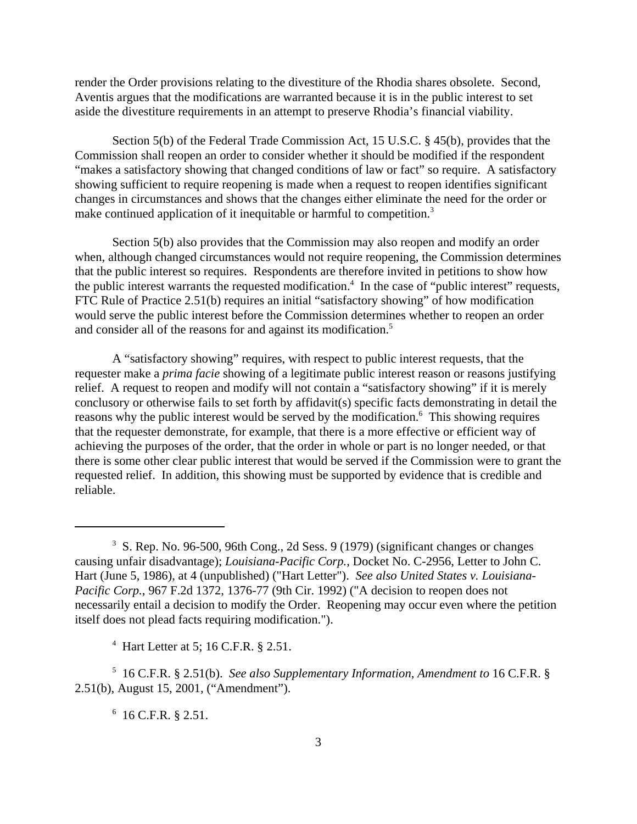render the Order provisions relating to the divestiture of the Rhodia shares obsolete. Second, Aventis argues that the modifications are warranted because it is in the public interest to set aside the divestiture requirements in an attempt to preserve Rhodia's financial viability.

Section 5(b) of the Federal Trade Commission Act, 15 U.S.C. § 45(b), provides that the Commission shall reopen an order to consider whether it should be modified if the respondent "makes a satisfactory showing that changed conditions of law or fact" so require. A satisfactory showing sufficient to require reopening is made when a request to reopen identifies significant changes in circumstances and shows that the changes either eliminate the need for the order or make continued application of it inequitable or harmful to competition.<sup>3</sup>

Section 5(b) also provides that the Commission may also reopen and modify an order when, although changed circumstances would not require reopening, the Commission determines that the public interest so requires. Respondents are therefore invited in petitions to show how the public interest warrants the requested modification.<sup>4</sup> In the case of "public interest" requests, FTC Rule of Practice 2.51(b) requires an initial "satisfactory showing" of how modification would serve the public interest before the Commission determines whether to reopen an order and consider all of the reasons for and against its modification.<sup>5</sup>

A "satisfactory showing" requires, with respect to public interest requests, that the requester make a *prima facie* showing of a legitimate public interest reason or reasons justifying relief. A request to reopen and modify will not contain a "satisfactory showing" if it is merely conclusory or otherwise fails to set forth by affidavit(s) specific facts demonstrating in detail the reasons why the public interest would be served by the modification.<sup>6</sup> This showing requires that the requester demonstrate, for example, that there is a more effective or efficient way of achieving the purposes of the order, that the order in whole or part is no longer needed, or that there is some other clear public interest that would be served if the Commission were to grant the requested relief. In addition, this showing must be supported by evidence that is credible and reliable.

4 Hart Letter at 5; 16 C.F.R. § 2.51.

5 16 C.F.R. § 2.51(b). *See also Supplementary Information*, *Amendment to* 16 C.F.R. § 2.51(b), August 15, 2001, ("Amendment").

 $6$  16 C.F.R. § 2.51.

<sup>&</sup>lt;sup>3</sup> S. Rep. No. 96-500, 96th Cong., 2d Sess. 9 (1979) (significant changes or changes causing unfair disadvantage); *Louisiana-Pacific Corp.*, Docket No. C-2956, Letter to John C. Hart (June 5, 1986), at 4 (unpublished) ("Hart Letter"). *See also United States v. Louisiana-Pacific Corp.*, 967 F.2d 1372, 1376-77 (9th Cir. 1992) ("A decision to reopen does not necessarily entail a decision to modify the Order. Reopening may occur even where the petition itself does not plead facts requiring modification.").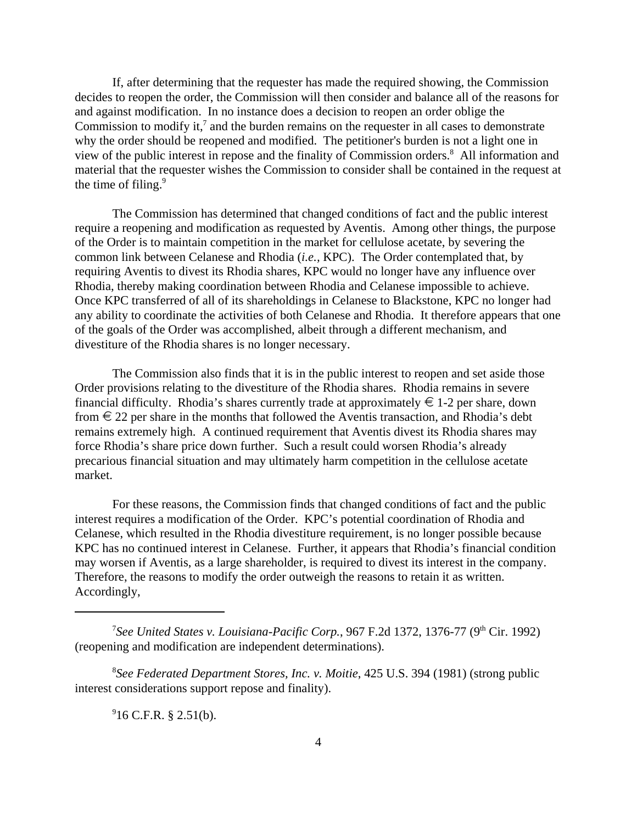If, after determining that the requester has made the required showing, the Commission decides to reopen the order, the Commission will then consider and balance all of the reasons for and against modification. In no instance does a decision to reopen an order oblige the Commission to modify it, $\overline{7}$  and the burden remains on the requester in all cases to demonstrate why the order should be reopened and modified. The petitioner's burden is not a light one in view of the public interest in repose and the finality of Commission orders.<sup>8</sup> All information and material that the requester wishes the Commission to consider shall be contained in the request at the time of filing.<sup>9</sup>

The Commission has determined that changed conditions of fact and the public interest require a reopening and modification as requested by Aventis. Among other things, the purpose of the Order is to maintain competition in the market for cellulose acetate, by severing the common link between Celanese and Rhodia (*i.e.,* KPC). The Order contemplated that, by requiring Aventis to divest its Rhodia shares, KPC would no longer have any influence over Rhodia, thereby making coordination between Rhodia and Celanese impossible to achieve. Once KPC transferred of all of its shareholdings in Celanese to Blackstone, KPC no longer had any ability to coordinate the activities of both Celanese and Rhodia. It therefore appears that one of the goals of the Order was accomplished, albeit through a different mechanism, and divestiture of the Rhodia shares is no longer necessary.

The Commission also finds that it is in the public interest to reopen and set aside those Order provisions relating to the divestiture of the Rhodia shares. Rhodia remains in severe financial difficulty. Rhodia's shares currently trade at approximately  $\in$  1-2 per share, down from  $\epsilon$  22 per share in the months that followed the Aventis transaction, and Rhodia's debt remains extremely high. A continued requirement that Aventis divest its Rhodia shares may force Rhodia's share price down further. Such a result could worsen Rhodia's already precarious financial situation and may ultimately harm competition in the cellulose acetate market.

For these reasons, the Commission finds that changed conditions of fact and the public interest requires a modification of the Order. KPC's potential coordination of Rhodia and Celanese, which resulted in the Rhodia divestiture requirement, is no longer possible because KPC has no continued interest in Celanese. Further, it appears that Rhodia's financial condition may worsen if Aventis, as a large shareholder, is required to divest its interest in the company. Therefore, the reasons to modify the order outweigh the reasons to retain it as written. Accordingly,

8 *See Federated Department Stores, Inc. v. Moitie*, 425 U.S. 394 (1981) (strong public interest considerations support repose and finality).

 $916$  C.F.R. § 2.51(b).

<sup>&</sup>lt;sup>7</sup>See United States v. Louisiana-Pacific Corp., 967 F.2d 1372, 1376-77 (9<sup>th</sup> Cir. 1992) (reopening and modification are independent determinations).